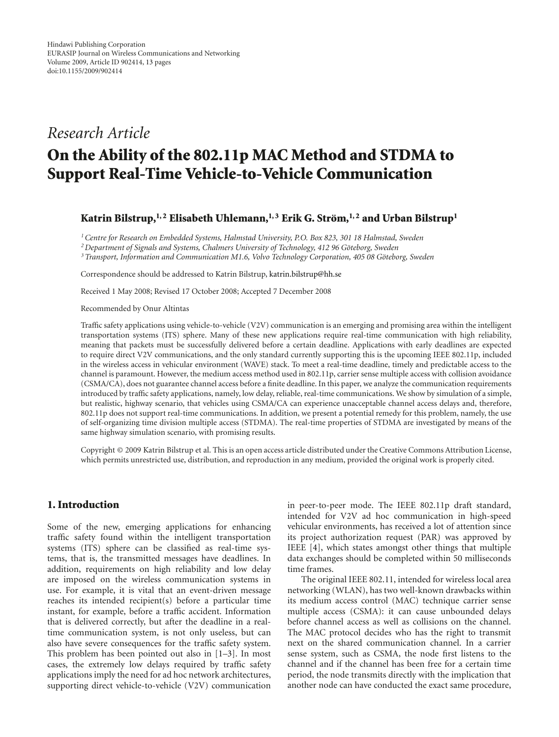# *Research Article*

# **On the Ability of the 802.11p MAC Method and STDMA to Support Real-Time Vehicle-to-Vehicle Communication**

# Katrin Bilstrup,<sup>1,2</sup> Elisabeth Uhlemann,<sup>1,3</sup> Erik G. Ström,<sup>1,2</sup> and Urban Bilstrup<sup>1</sup>

*1Centre for Research on Embedded Systems, Halmstad University, P.O. Box 823, 301 18 Halmstad, Sweden*

*2Department of Signals and Systems, Chalmers University of Technology, 412 96 Goteborg, Sweden ¨*

*3Transport, Information and Communication M1.6, Volvo Technology Corporation, 405 08 Goteborg, Sweden ¨*

Correspondence should be addressed to Katrin Bilstrup, katrin.bilstrup@hh.se

Received 1 May 2008; Revised 17 October 2008; Accepted 7 December 2008

Recommended by Onur Altintas

Traffic safety applications using vehicle-to-vehicle (V2V) communication is an emerging and promising area within the intelligent transportation systems (ITS) sphere. Many of these new applications require real-time communication with high reliability, meaning that packets must be successfully delivered before a certain deadline. Applications with early deadlines are expected to require direct V2V communications, and the only standard currently supporting this is the upcoming IEEE 802.11p, included in the wireless access in vehicular environment (WAVE) stack. To meet a real-time deadline, timely and predictable access to the channel is paramount. However, the medium access method used in 802.11p, carrier sense multiple access with collision avoidance (CSMA/CA), does not guarantee channel access before a finite deadline. In this paper, we analyze the communication requirements introduced by traffic safety applications, namely, low delay, reliable, real-time communications. We show by simulation of a simple, but realistic, highway scenario, that vehicles using CSMA/CA can experience unacceptable channel access delays and, therefore, 802.11p does not support real-time communications. In addition, we present a potential remedy for this problem, namely, the use of self-organizing time division multiple access (STDMA). The real-time properties of STDMA are investigated by means of the same highway simulation scenario, with promising results.

Copyright © 2009 Katrin Bilstrup et al. This is an open access article distributed under the Creative Commons Attribution License, which permits unrestricted use, distribution, and reproduction in any medium, provided the original work is properly cited.

#### **1. Introduction**

Some of the new, emerging applications for enhancing traffic safety found within the intelligent transportation systems (ITS) sphere can be classified as real-time systems, that is, the transmitted messages have deadlines. In addition, requirements on high reliability and low delay are imposed on the wireless communication systems in use. For example, it is vital that an event-driven message reaches its intended recipient(s) before a particular time instant, for example, before a traffic accident. Information that is delivered correctly, but after the deadline in a realtime communication system, is not only useless, but can also have severe consequences for the traffic safety system. This problem has been pointed out also in [1–3]. In most cases, the extremely low delays required by traffic safety applications imply the need for ad hoc network architectures, supporting direct vehicle-to-vehicle (V2V) communication

in peer-to-peer mode. The IEEE 802.11p draft standard, intended for V2V ad hoc communication in high-speed vehicular environments, has received a lot of attention since its project authorization request (PAR) was approved by IEEE [4], which states amongst other things that multiple data exchanges should be completed within 50 milliseconds time frames.

The original IEEE 802.11, intended for wireless local area networking (WLAN), has two well-known drawbacks within its medium access control (MAC) technique carrier sense multiple access (CSMA): it can cause unbounded delays before channel access as well as collisions on the channel. The MAC protocol decides who has the right to transmit next on the shared communication channel. In a carrier sense system, such as CSMA, the node first listens to the channel and if the channel has been free for a certain time period, the node transmits directly with the implication that another node can have conducted the exact same procedure,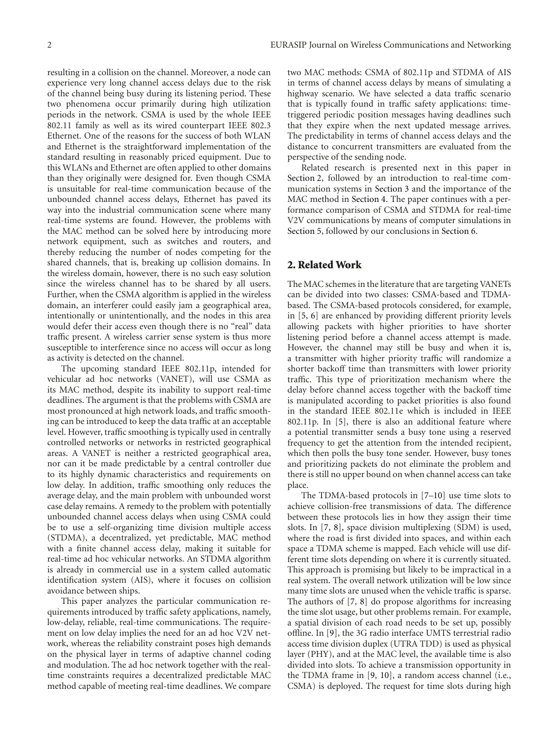resulting in a collision on the channel. Moreover, a node can experience very long channel access delays due to the risk of the channel being busy during its listening period. These two phenomena occur primarily during high utilization periods in the network. CSMA is used by the whole IEEE 802.11 family as well as its wired counterpart IEEE 802.3 Ethernet. One of the reasons for the success of both WLAN and Ethernet is the straightforward implementation of the standard resulting in reasonably priced equipment. Due to this WLANs and Ethernet are often applied to other domains than they originally were designed for. Even though CSMA is unsuitable for real-time communication because of the unbounded channel access delays, Ethernet has paved its way into the industrial communication scene where many real-time systems are found. However, the problems with the MAC method can be solved here by introducing more network equipment, such as switches and routers, and thereby reducing the number of nodes competing for the shared channels, that is, breaking up collision domains. In the wireless domain, however, there is no such easy solution since the wireless channel has to be shared by all users. Further, when the CSMA algorithm is applied in the wireless domain, an interferer could easily jam a geographical area, intentionally or unintentionally, and the nodes in this area would defer their access even though there is no "real" data traffic present. A wireless carrier sense system is thus more susceptible to interference since no access will occur as long as activity is detected on the channel.

The upcoming standard IEEE 802.11p, intended for vehicular ad hoc networks (VANET), will use CSMA as its MAC method, despite its inability to support real-time deadlines. The argument is that the problems with CSMA are most pronounced at high network loads, and traffic smoothing can be introduced to keep the data traffic at an acceptable level. However, traffic smoothing is typically used in centrally controlled networks or networks in restricted geographical areas. A VANET is neither a restricted geographical area, nor can it be made predictable by a central controller due to its highly dynamic characteristics and requirements on low delay. In addition, traffic smoothing only reduces the average delay, and the main problem with unbounded worst case delay remains. A remedy to the problem with potentially unbounded channel access delays when using CSMA could be to use a self-organizing time division multiple access (STDMA), a decentralized, yet predictable, MAC method with a finite channel access delay, making it suitable for real-time ad hoc vehicular networks. An STDMA algorithm is already in commercial use in a system called automatic identification system (AIS), where it focuses on collision avoidance between ships.

This paper analyzes the particular communication requirements introduced by traffic safety applications, namely, low-delay, reliable, real-time communications. The requirement on low delay implies the need for an ad hoc V2V network, whereas the reliability constraint poses high demands on the physical layer in terms of adaptive channel coding and modulation. The ad hoc network together with the realtime constraints requires a decentralized predictable MAC method capable of meeting real-time deadlines. We compare

two MAC methods: CSMA of 802.11p and STDMA of AIS in terms of channel access delays by means of simulating a highway scenario. We have selected a data traffic scenario that is typically found in traffic safety applications: timetriggered periodic position messages having deadlines such that they expire when the next updated message arrives. The predictability in terms of channel access delays and the distance to concurrent transmitters are evaluated from the perspective of the sending node.

Related research is presented next in this paper in Section 2, followed by an introduction to real-time communication systems in Section 3 and the importance of the MAC method in Section 4. The paper continues with a performance comparison of CSMA and STDMA for real-time V2V communications by means of computer simulations in Section 5, followed by our conclusions in Section 6.

#### **2. Related Work**

The MAC schemes in the literature that are targeting VANETs can be divided into two classes: CSMA-based and TDMAbased. The CSMA-based protocols considered, for example, in [5, 6] are enhanced by providing different priority levels allowing packets with higher priorities to have shorter listening period before a channel access attempt is made. However, the channel may still be busy and when it is, a transmitter with higher priority traffic will randomize a shorter backoff time than transmitters with lower priority traffic. This type of prioritization mechanism where the delay before channel access together with the backoff time is manipulated according to packet priorities is also found in the standard IEEE 802.11e which is included in IEEE 802.11p. In [5], there is also an additional feature where a potential transmitter sends a busy tone using a reserved frequency to get the attention from the intended recipient, which then polls the busy tone sender. However, busy tones and prioritizing packets do not eliminate the problem and there is still no upper bound on when channel access can take place.

The TDMA-based protocols in [7–10] use time slots to achieve collision-free transmissions of data. The difference between these protocols lies in how they assign their time slots. In [7, 8], space division multiplexing (SDM) is used, where the road is first divided into spaces, and within each space a TDMA scheme is mapped. Each vehicle will use different time slots depending on where it is currently situated. This approach is promising but likely to be impractical in a real system. The overall network utilization will be low since many time slots are unused when the vehicle traffic is sparse. The authors of [7, 8] do propose algorithms for increasing the time slot usage, but other problems remain. For example, a spatial division of each road needs to be set up, possibly offline. In [9], the 3G radio interface UMTS terrestrial radio access time division duplex (UTRA TDD) is used as physical layer (PHY), and at the MAC level, the available time is also divided into slots. To achieve a transmission opportunity in the TDMA frame in [9, 10], a random access channel (i.e., CSMA) is deployed. The request for time slots during high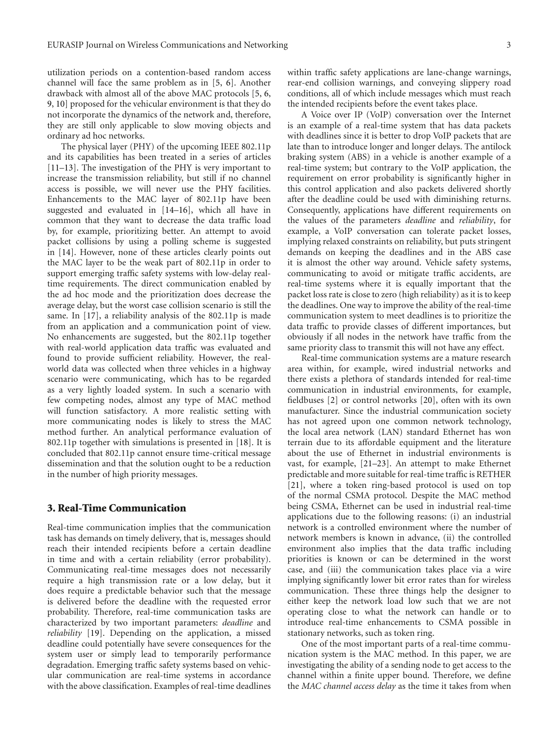utilization periods on a contention-based random access channel will face the same problem as in [5, 6]. Another drawback with almost all of the above MAC protocols [5, 6, 9, 10] proposed for the vehicular environment is that they do not incorporate the dynamics of the network and, therefore, they are still only applicable to slow moving objects and ordinary ad hoc networks.

The physical layer (PHY) of the upcoming IEEE 802.11p and its capabilities has been treated in a series of articles [11–13]. The investigation of the PHY is very important to increase the transmission reliability, but still if no channel access is possible, we will never use the PHY facilities. Enhancements to the MAC layer of 802.11p have been suggested and evaluated in [14–16], which all have in common that they want to decrease the data traffic load by, for example, prioritizing better. An attempt to avoid packet collisions by using a polling scheme is suggested in [14]. However, none of these articles clearly points out the MAC layer to be the weak part of 802.11p in order to support emerging traffic safety systems with low-delay realtime requirements. The direct communication enabled by the ad hoc mode and the prioritization does decrease the average delay, but the worst case collision scenario is still the same. In [17], a reliability analysis of the 802.11p is made from an application and a communication point of view. No enhancements are suggested, but the 802.11p together with real-world application data traffic was evaluated and found to provide sufficient reliability. However, the realworld data was collected when three vehicles in a highway scenario were communicating, which has to be regarded as a very lightly loaded system. In such a scenario with few competing nodes, almost any type of MAC method will function satisfactory. A more realistic setting with more communicating nodes is likely to stress the MAC method further. An analytical performance evaluation of 802.11p together with simulations is presented in [18]. It is concluded that 802.11p cannot ensure time-critical message dissemination and that the solution ought to be a reduction in the number of high priority messages.

#### **3. Real-Time Communication**

Real-time communication implies that the communication task has demands on timely delivery, that is, messages should reach their intended recipients before a certain deadline in time and with a certain reliability (error probability). Communicating real-time messages does not necessarily require a high transmission rate or a low delay, but it does require a predictable behavior such that the message is delivered before the deadline with the requested error probability. Therefore, real-time communication tasks are characterized by two important parameters: *deadline* and *reliability* [19]. Depending on the application, a missed deadline could potentially have severe consequences for the system user or simply lead to temporarily performance degradation. Emerging traffic safety systems based on vehicular communication are real-time systems in accordance with the above classification. Examples of real-time deadlines

within traffic safety applications are lane-change warnings, rear-end collision warnings, and conveying slippery road conditions, all of which include messages which must reach the intended recipients before the event takes place.

A Voice over IP (VoIP) conversation over the Internet is an example of a real-time system that has data packets with deadlines since it is better to drop VoIP packets that are late than to introduce longer and longer delays. The antilock braking system (ABS) in a vehicle is another example of a real-time system; but contrary to the VoIP application, the requirement on error probability is significantly higher in this control application and also packets delivered shortly after the deadline could be used with diminishing returns. Consequently, applications have different requirements on the values of the parameters *deadline* and *reliability*, for example, a VoIP conversation can tolerate packet losses, implying relaxed constraints on reliability, but puts stringent demands on keeping the deadlines and in the ABS case it is almost the other way around. Vehicle safety systems, communicating to avoid or mitigate traffic accidents, are real-time systems where it is equally important that the packet loss rate is close to zero (high reliability) as it is to keep the deadlines. One way to improve the ability of the real-time communication system to meet deadlines is to prioritize the data traffic to provide classes of different importances, but obviously if all nodes in the network have traffic from the same priority class to transmit this will not have any effect.

Real-time communication systems are a mature research area within, for example, wired industrial networks and there exists a plethora of standards intended for real-time communication in industrial environments, for example, fieldbuses [2] or control networks [20], often with its own manufacturer. Since the industrial communication society has not agreed upon one common network technology, the local area network (LAN) standard Ethernet has won terrain due to its affordable equipment and the literature about the use of Ethernet in industrial environments is vast, for example, [21–23]. An attempt to make Ethernet predictable and more suitable for real-time traffic is RETHER [21], where a token ring-based protocol is used on top of the normal CSMA protocol. Despite the MAC method being CSMA, Ethernet can be used in industrial real-time applications due to the following reasons: (i) an industrial network is a controlled environment where the number of network members is known in advance, (ii) the controlled environment also implies that the data traffic including priorities is known or can be determined in the worst case, and (iii) the communication takes place via a wire implying significantly lower bit error rates than for wireless communication. These three things help the designer to either keep the network load low such that we are not operating close to what the network can handle or to introduce real-time enhancements to CSMA possible in stationary networks, such as token ring.

One of the most important parts of a real-time communication system is the MAC method. In this paper, we are investigating the ability of a sending node to get access to the channel within a finite upper bound. Therefore, we define the *MAC channel access delay* as the time it takes from when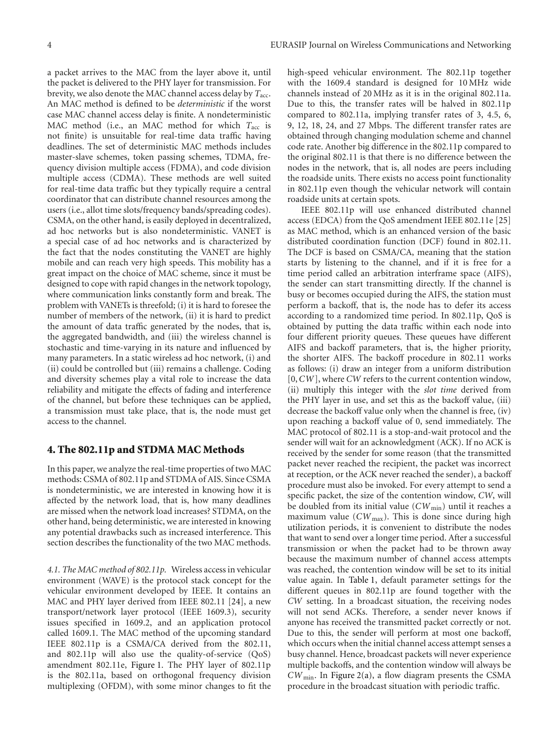a packet arrives to the MAC from the layer above it, until the packet is delivered to the PHY layer for transmission. For brevity, we also denote the MAC channel access delay by *T*acc. An MAC method is defined to be *deterministic* if the worst case MAC channel access delay is finite. A nondeterministic MAC method (i.e., an MAC method for which  $T_{\text{acc}}$  is not finite) is unsuitable for real-time data traffic having deadlines. The set of deterministic MAC methods includes master-slave schemes, token passing schemes, TDMA, frequency division multiple access (FDMA), and code division multiple access (CDMA). These methods are well suited for real-time data traffic but they typically require a central coordinator that can distribute channel resources among the users (i.e., allot time slots/frequency bands/spreading codes). CSMA, on the other hand, is easily deployed in decentralized, ad hoc networks but is also nondeterministic. VANET is a special case of ad hoc networks and is characterized by the fact that the nodes constituting the VANET are highly mobile and can reach very high speeds. This mobility has a great impact on the choice of MAC scheme, since it must be designed to cope with rapid changes in the network topology, where communication links constantly form and break. The problem with VANETs is threefold; (i) it is hard to foresee the number of members of the network, (ii) it is hard to predict the amount of data traffic generated by the nodes, that is, the aggregated bandwidth, and (iii) the wireless channel is stochastic and time-varying in its nature and influenced by many parameters. In a static wireless ad hoc network, (i) and (ii) could be controlled but (iii) remains a challenge. Coding and diversity schemes play a vital role to increase the data reliability and mitigate the effects of fading and interference of the channel, but before these techniques can be applied, a transmission must take place, that is, the node must get access to the channel.

#### **4. The 802.11p and STDMA MAC Methods**

In this paper, we analyze the real-time properties of two MAC methods: CSMA of 802.11p and STDMA of AIS. Since CSMA is nondeterministic, we are interested in knowing how it is affected by the network load, that is, how many deadlines are missed when the network load increases? STDMA, on the other hand, being deterministic, we are interested in knowing any potential drawbacks such as increased interference. This section describes the functionality of the two MAC methods.

*4.1. The MAC method of 802.11p.* Wireless access in vehicular environment (WAVE) is the protocol stack concept for the vehicular environment developed by IEEE. It contains an MAC and PHY layer derived from IEEE 802.11 [24], a new transport/network layer protocol (IEEE 1609.3), security issues specified in 1609.2, and an application protocol called 1609.1. The MAC method of the upcoming standard IEEE 802.11p is a CSMA/CA derived from the 802.11, and 802.11p will also use the quality-of-service (QoS) amendment 802.11e, Figure 1. The PHY layer of 802.11p is the 802.11a, based on orthogonal frequency division multiplexing (OFDM), with some minor changes to fit the

high-speed vehicular environment. The 802.11p together with the 1609.4 standard is designed for 10 MHz wide channels instead of 20 MHz as it is in the original 802.11a. Due to this, the transfer rates will be halved in 802.11p compared to 802.11a, implying transfer rates of 3, 4.5, 6, 9, 12, 18, 24, and 27 Mbps. The different transfer rates are obtained through changing modulation scheme and channel code rate. Another big difference in the 802.11p compared to the original 802.11 is that there is no difference between the nodes in the network, that is, all nodes are peers including the roadside units. There exists no access point functionality in 802.11p even though the vehicular network will contain roadside units at certain spots.

IEEE 802.11p will use enhanced distributed channel access (EDCA) from the QoS amendment IEEE 802.11e [25] as MAC method, which is an enhanced version of the basic distributed coordination function (DCF) found in 802.11. The DCF is based on CSMA/CA, meaning that the station starts by listening to the channel, and if it is free for a time period called an arbitration interframe space (AIFS), the sender can start transmitting directly. If the channel is busy or becomes occupied during the AIFS, the station must perform a backoff, that is, the node has to defer its access according to a randomized time period. In 802.11p, QoS is obtained by putting the data traffic within each node into four different priority queues. These queues have different AIFS and backoff parameters, that is, the higher priority, the shorter AIFS. The backoff procedure in 802.11 works as follows: (i) draw an integer from a uniform distribution [0,*CW*], where *CW* refers to the current contention window, (ii) multiply this integer with the *slot time* derived from the PHY layer in use, and set this as the backoff value, (iii) decrease the backoff value only when the channel is free, (iv) upon reaching a backoff value of 0, send immediately. The MAC protocol of 802.11 is a stop-and-wait protocol and the sender will wait for an acknowledgment (ACK). If no ACK is received by the sender for some reason (that the transmitted packet never reached the recipient, the packet was incorrect at reception, or the ACK never reached the sender), a backoff procedure must also be invoked. For every attempt to send a specific packet, the size of the contention window, *CW*, will be doubled from its initial value (*CW*min) until it reaches a maximum value (*CW*<sub>max</sub>). This is done since during high utilization periods, it is convenient to distribute the nodes that want to send over a longer time period. After a successful transmission or when the packet had to be thrown away because the maximum number of channel access attempts was reached, the contention window will be set to its initial value again. In Table 1, default parameter settings for the different queues in 802.11p are found together with the *CW* setting. In a broadcast situation, the receiving nodes will not send ACKs. Therefore, a sender never knows if anyone has received the transmitted packet correctly or not. Due to this, the sender will perform at most one backoff, which occurs when the initial channel access attempt senses a busy channel. Hence, broadcast packets will never experience multiple backoffs, and the contention window will always be *CW*min. In Figure 2(a), a flow diagram presents the CSMA procedure in the broadcast situation with periodic traffic.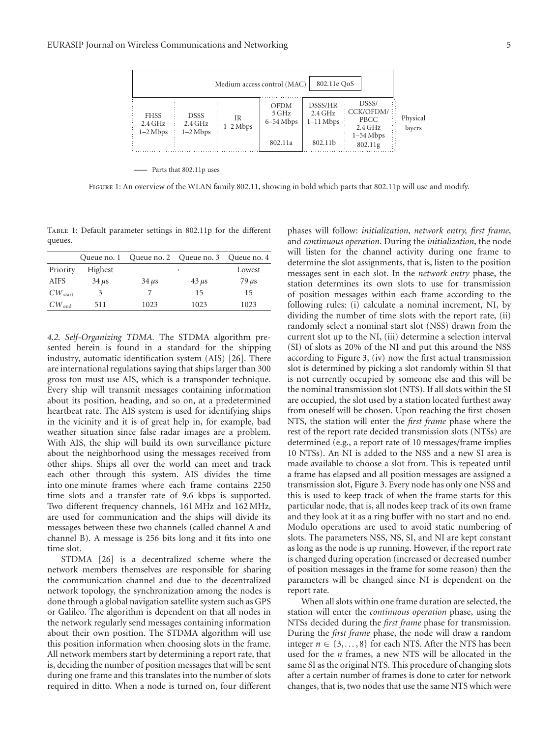| 802.11e OoS<br>Medium access control (MAC)       |                                                |                  |                                     |                                               |                                                                    |                    |
|--------------------------------------------------|------------------------------------------------|------------------|-------------------------------------|-----------------------------------------------|--------------------------------------------------------------------|--------------------|
| <b>FHSS</b><br>$2.4\,\mathrm{GHz}$<br>$1-2$ Mbps | <b>DSSS</b><br>$2.4 \text{ GHz}$<br>$1-2$ Mbps | IR<br>$1-2$ Mbps | <b>OFDM</b><br>5 GHz<br>$6-54$ Mbps | DSSS/HR<br>$2.4\,\mathrm{GHz}$<br>$1-11$ Mbps | DSSS/<br>: CCK/OFDM/<br>PBCC<br>$2.4\,\mathrm{GHz}$<br>$1-54$ Mbps | Physical<br>layers |
|                                                  |                                                |                  | 802.11a                             | 802.11b                                       | 802.11g                                                            |                    |

**-** Parts that 802.11p uses

Figure 1: An overview of the WLAN family 802.11, showing in bold which parts that 802.11p will use and modify.

Table 1: Default parameter settings in 802.11p for the different queues.

|                     | Queue no. 1 | Queue no. 2 Queue no. 3 Queue no. 4 |            |            |
|---------------------|-------------|-------------------------------------|------------|------------|
| Priority            | Highest     |                                     |            | Lowest     |
| AIFS.               | $34 \mu s$  | $34 \mu s$                          | $43 \mu s$ | $79 \mu s$ |
| $CW_{\text{start}}$ | 3           |                                     | 15         | 15         |
| $CW_{end}$          | 511         | 1023                                | 1023       | 1023       |

*4.2. Self-Organizing TDMA.* The STDMA algorithm presented herein is found in a standard for the shipping industry, automatic identification system (AIS) [26]. There are international regulations saying that ships larger than 300 gross ton must use AIS, which is a transponder technique. Every ship will transmit messages containing information about its position, heading, and so on, at a predetermined heartbeat rate. The AIS system is used for identifying ships in the vicinity and it is of great help in, for example, bad weather situation since false radar images are a problem. With AIS, the ship will build its own surveillance picture about the neighborhood using the messages received from other ships. Ships all over the world can meet and track each other through this system. AIS divides the time into one minute frames where each frame contains 2250 time slots and a transfer rate of 9.6 kbps is supported. Two different frequency channels, 161 MHz and 162 MHz, are used for communication and the ships will divide its messages between these two channels (called channel A and channel B). A message is 256 bits long and it fits into one time slot.

STDMA [26] is a decentralized scheme where the network members themselves are responsible for sharing the communication channel and due to the decentralized network topology, the synchronization among the nodes is done through a global navigation satellite system such as GPS or Galileo. The algorithm is dependent on that all nodes in the network regularly send messages containing information about their own position. The STDMA algorithm will use this position information when choosing slots in the frame. All network members start by determining a report rate, that is, deciding the number of position messages that will be sent during one frame and this translates into the number of slots required in ditto. When a node is turned on, four different

phases will follow: *initialization, network entry, first frame*, and *continuous operation*. During the *initialization*, the node will listen for the channel activity during one frame to determine the slot assignments, that is, listen to the position messages sent in each slot. In the *network entry* phase, the station determines its own slots to use for transmission of position messages within each frame according to the following rules: (i) calculate a nominal increment, NI, by dividing the number of time slots with the report rate, (ii) randomly select a nominal start slot (NSS) drawn from the current slot up to the NI, (iii) determine a selection interval (SI) of slots as 20% of the NI and put this around the NSS according to Figure 3, (iv) now the first actual transmission slot is determined by picking a slot randomly within SI that is not currently occupied by someone else and this will be the nominal transmission slot (NTS). If all slots within the SI are occupied, the slot used by a station located furthest away from oneself will be chosen. Upon reaching the first chosen NTS, the station will enter the *first frame* phase where the rest of the report rate decided transmission slots (NTSs) are determined (e.g., a report rate of 10 messages/frame implies 10 NTSs). An NI is added to the NSS and a new SI area is made available to choose a slot from. This is repeated until a frame has elapsed and all position messages are assigned a transmission slot, Figure 3. Every node has only one NSS and this is used to keep track of when the frame starts for this particular node, that is, all nodes keep track of its own frame and they look at it as a ring buffer with no start and no end. Modulo operations are used to avoid static numbering of slots. The parameters NSS, NS, SI, and NI are kept constant as long as the node is up running. However, if the report rate is changed during operation (increased or decreased number of position messages in the frame for some reason) then the parameters will be changed since NI is dependent on the report rate.

When all slots within one frame duration are selected, the station will enter the *continuous operation* phase, using the NTSs decided during the *first frame* phase for transmission. During the *first frame* phase, the node will draw a random integer  $n \in \{3, \ldots, 8\}$  for each NTS. After the NTS has been used for the *n* frames, a new NTS will be allocated in the same SI as the original NTS. This procedure of changing slots after a certain number of frames is done to cater for network changes, that is, two nodes that use the same NTS which were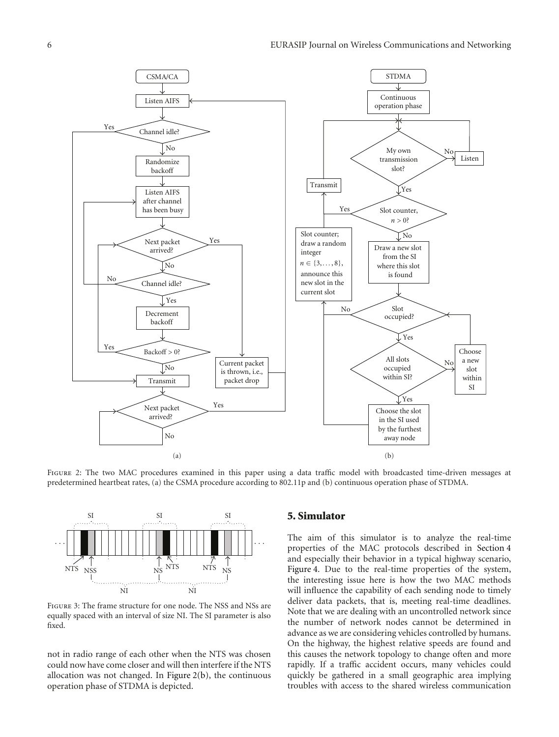

FIGURE 2: The two MAC procedures examined in this paper using a data traffic model with broadcasted time-driven messages at predetermined heartbeat rates, (a) the CSMA procedure according to 802.11p and (b) continuous operation phase of STDMA.



Figure 3: The frame structure for one node. The NSS and NSs are equally spaced with an interval of size NI. The SI parameter is also fixed.

not in radio range of each other when the NTS was chosen could now have come closer and will then interfere if the NTS allocation was not changed. In Figure 2(b), the continuous operation phase of STDMA is depicted.

# **5. Simulator**

The aim of this simulator is to analyze the real-time properties of the MAC protocols described in Section 4 and especially their behavior in a typical highway scenario, Figure 4. Due to the real-time properties of the system, the interesting issue here is how the two MAC methods will influence the capability of each sending node to timely deliver data packets, that is, meeting real-time deadlines. Note that we are dealing with an uncontrolled network since the number of network nodes cannot be determined in advance as we are considering vehicles controlled by humans. On the highway, the highest relative speeds are found and this causes the network topology to change often and more rapidly. If a traffic accident occurs, many vehicles could quickly be gathered in a small geographic area implying troubles with access to the shared wireless communication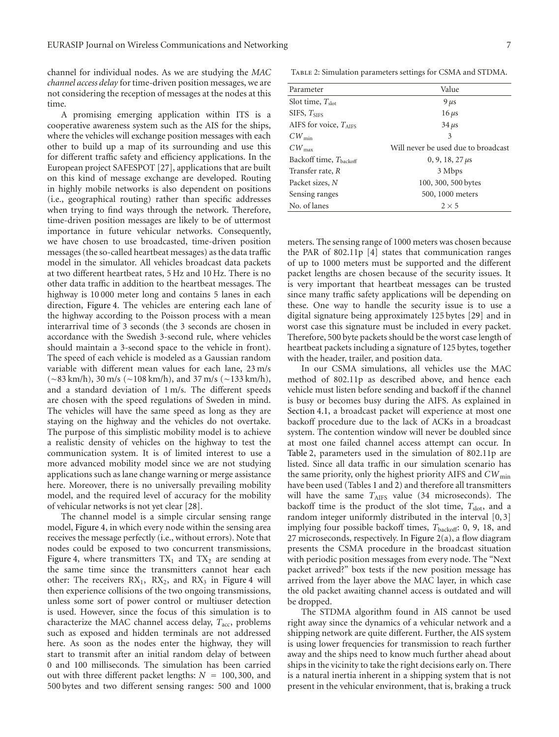channel for individual nodes. As we are studying the *MAC channel access delay* for time-driven position messages, we are not considering the reception of messages at the nodes at this time.

A promising emerging application within ITS is a cooperative awareness system such as the AIS for the ships, where the vehicles will exchange position messages with each other to build up a map of its surrounding and use this for different traffic safety and efficiency applications. In the European project SAFESPOT [27], applications that are built on this kind of message exchange are developed. Routing in highly mobile networks is also dependent on positions (i.e., geographical routing) rather than specific addresses when trying to find ways through the network. Therefore, time-driven position messages are likely to be of uttermost importance in future vehicular networks. Consequently, we have chosen to use broadcasted, time-driven position messages (the so-called heartbeat messages) as the data traffic model in the simulator. All vehicles broadcast data packets at two different heartbeat rates, 5 Hz and 10 Hz. There is no other data traffic in addition to the heartbeat messages. The highway is 10000 meter long and contains 5 lanes in each direction, Figure 4. The vehicles are entering each lane of the highway according to the Poisson process with a mean interarrival time of 3 seconds (the 3 seconds are chosen in accordance with the Swedish 3-second rule, where vehicles should maintain a 3-second space to the vehicle in front). The speed of each vehicle is modeled as a Gaussian random variable with different mean values for each lane, 23 m/s (∼83 km/h), 30 m/s (∼108 km/h), and 37 m/s (∼133 km/h), and a standard deviation of 1 m/s. The different speeds are chosen with the speed regulations of Sweden in mind. The vehicles will have the same speed as long as they are staying on the highway and the vehicles do not overtake. The purpose of this simplistic mobility model is to achieve a realistic density of vehicles on the highway to test the communication system. It is of limited interest to use a more advanced mobility model since we are not studying applications such as lane change warning or merge assistance here. Moreover, there is no universally prevailing mobility model, and the required level of accuracy for the mobility of vehicular networks is not yet clear [28].

The channel model is a simple circular sensing range model, Figure 4, in which every node within the sensing area receives the message perfectly (i.e., without errors). Note that nodes could be exposed to two concurrent transmissions, Figure 4, where transmitters  $TX_1$  and  $TX_2$  are sending at the same time since the transmitters cannot hear each other: The receivers  $RX_1$ ,  $RX_2$ , and  $RX_3$  in Figure 4 will then experience collisions of the two ongoing transmissions, unless some sort of power control or multiuser detection is used. However, since the focus of this simulation is to characterize the MAC channel access delay, *T*<sub>acc</sub>, problems</sub> such as exposed and hidden terminals are not addressed here. As soon as the nodes enter the highway, they will start to transmit after an initial random delay of between 0 and 100 milliseconds. The simulation has been carried out with three different packet lengths:  $N = 100, 300,$  and 500 bytes and two different sensing ranges: 500 and 1000

Table 2: Simulation parameters settings for CSMA and STDMA.

| Parameter                          | Value                               |  |  |
|------------------------------------|-------------------------------------|--|--|
| Slot time, $T_{\text{slot}}$       | $9 \mu s$                           |  |  |
| SIFS, $TSIES$                      | $16 \mu s$                          |  |  |
| AIFS for voice, $T_{\text{AIES}}$  | $34 \mu s$                          |  |  |
| $CW_{\min}$                        | 3                                   |  |  |
| $CW_{\text{max}}$                  | Will never be used due to broadcast |  |  |
| Backoff time, T <sub>backoff</sub> | $0, 9, 18, 27 \,\mu s$              |  |  |
| Transfer rate, R                   | 3 Mbps                              |  |  |
| Packet sizes, N                    | 100, 300, 500 bytes                 |  |  |
| Sensing ranges                     | 500, 1000 meters                    |  |  |
| No. of lanes                       | $2 \times 5$                        |  |  |

meters. The sensing range of 1000 meters was chosen because the PAR of 802.11p [4] states that communication ranges of up to 1000 meters must be supported and the different packet lengths are chosen because of the security issues. It is very important that heartbeat messages can be trusted since many traffic safety applications will be depending on these. One way to handle the security issue is to use a digital signature being approximately 125 bytes [29] and in worst case this signature must be included in every packet. Therefore, 500 byte packets should be the worst case length of heartbeat packets including a signature of 125 bytes, together with the header, trailer, and position data.

In our CSMA simulations, all vehicles use the MAC method of 802.11p as described above, and hence each vehicle must listen before sending and backoff if the channel is busy or becomes busy during the AIFS. As explained in Section 4.1, a broadcast packet will experience at most one backoff procedure due to the lack of ACKs in a broadcast system. The contention window will never be doubled since at most one failed channel access attempt can occur. In Table 2, parameters used in the simulation of 802.11p are listed. Since all data traffic in our simulation scenario has the same priority, only the highest priority AIFS and  $CW_{min}$ have been used (Tables 1 and 2) and therefore all transmitters will have the same *T*<sub>AIFS</sub> value (34 microseconds). The backoff time is the product of the slot time,  $T_{slot}$ , and a random integer uniformly distributed in the interval [0, 3] implying four possible backoff times, T<sub>backoff</sub>: 0, 9, 18, and 27 microseconds, respectively. In Figure 2(a), a flow diagram presents the CSMA procedure in the broadcast situation with periodic position messages from every node. The "Next packet arrived?" box tests if the new position message has arrived from the layer above the MAC layer, in which case the old packet awaiting channel access is outdated and will be dropped.

The STDMA algorithm found in AIS cannot be used right away since the dynamics of a vehicular network and a shipping network are quite different. Further, the AIS system is using lower frequencies for transmission to reach further away and the ships need to know much further ahead about ships in the vicinity to take the right decisions early on. There is a natural inertia inherent in a shipping system that is not present in the vehicular environment, that is, braking a truck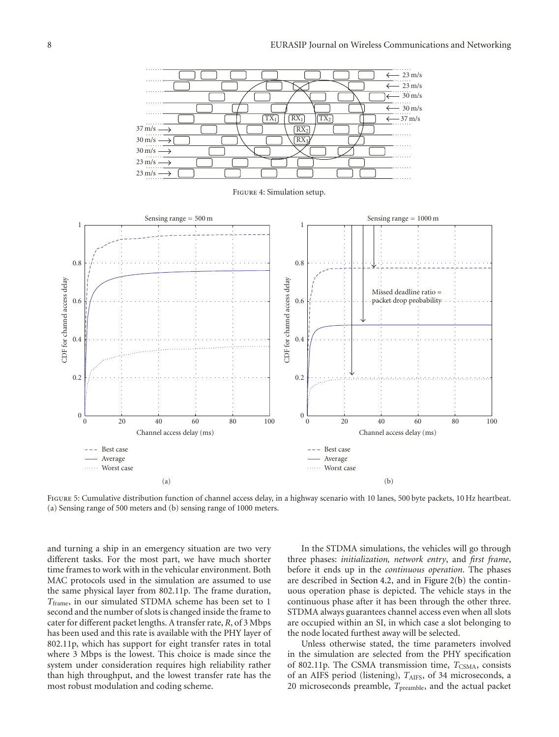

Figure 5: Cumulative distribution function of channel access delay, in a highway scenario with 10 lanes, 500 byte packets, 10 Hz heartbeat. (a) Sensing range of 500 meters and (b) sensing range of 1000 meters.

0

- Best case Average ...... Worst case

and turning a ship in an emergency situation are two very different tasks. For the most part, we have much shorter time frames to work with in the vehicular environment. Both MAC protocols used in the simulation are assumed to use the same physical layer from 802.11p. The frame duration, *T*frame, in our simulated STDMA scheme has been set to 1 second and the number of slots is changed inside the frame to cater for different packet lengths. A transfer rate, *R*, of 3 Mbps has been used and this rate is available with the PHY layer of 802.11p, which has support for eight transfer rates in total where 3 Mbps is the lowest. This choice is made since the system under consideration requires high reliability rather than high throughput, and the lowest transfer rate has the most robust modulation and coding scheme.

0 20 40 60 80 100 Channel access delay (ms)

(a)

In the STDMA simulations, the vehicles will go through three phases: *initialization, network entry*, and *first frame*, before it ends up in the *continuous operation*. The phases are described in Section 4.2, and in Figure 2(b) the continuous operation phase is depicted. The vehicle stays in the continuous phase after it has been through the other three. STDMA always guarantees channel access even when all slots are occupied within an SI, in which case a slot belonging to the node located furthest away will be selected.

0 20 40 60 80 100 Channel access delay (ms)

(b)

Unless otherwise stated, the time parameters involved in the simulation are selected from the PHY specification of 802.11p. The CSMA transmission time,  $T_{\text{CSMA}}$ , consists of an AIFS period (listening), T<sub>AIFS</sub>, of 34 microseconds, a 20 microseconds preamble, *T*preamble, and the actual packet

 $0\frac{L}{0}$ 

--- Best case - Average ...... Worst case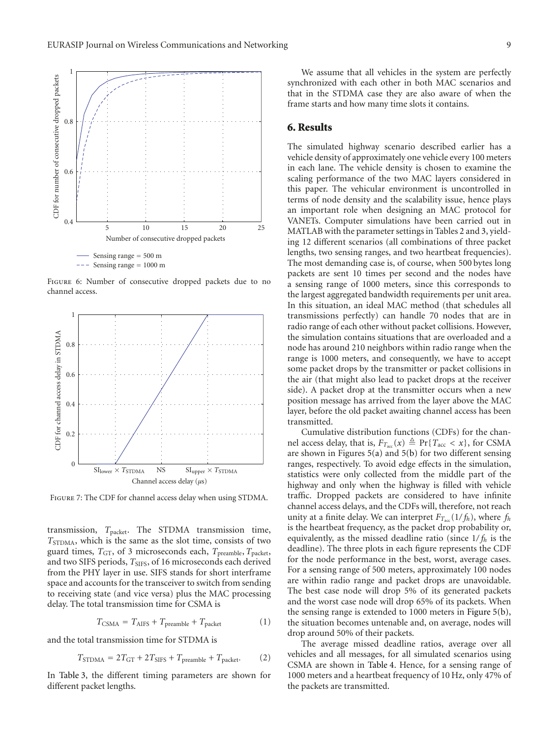

Figure 6: Number of consecutive dropped packets due to no channel access.



Figure 7: The CDF for channel access delay when using STDMA.

transmission, *T*packet. The STDMA transmission time, *T*STDMA, which is the same as the slot time, consists of two guard times,  $T_{GT}$ , of 3 microseconds each,  $T_{\text{preamble}}$ ,  $T_{\text{packet}}$ , and two SIFS periods, *T<sub>SIFS</sub>*, of 16 microseconds each derived from the PHY layer in use. SIFS stands for short interframe space and accounts for the transceiver to switch from sending to receiving state (and vice versa) plus the MAC processing delay. The total transmission time for CSMA is

$$
T_{\text{CSMA}} = T_{\text{AIFS}} + T_{\text{preamble}} + T_{\text{packet}} \tag{1}
$$

and the total transmission time for STDMA is

$$
T_{\text{STDMA}} = 2T_{\text{GT}} + 2T_{\text{SIFS}} + T_{\text{preamble}} + T_{\text{packet}}.\tag{2}
$$

In Table 3, the different timing parameters are shown for different packet lengths.

We assume that all vehicles in the system are perfectly synchronized with each other in both MAC scenarios and that in the STDMA case they are also aware of when the frame starts and how many time slots it contains.

# **6. Results**

The simulated highway scenario described earlier has a vehicle density of approximately one vehicle every 100 meters in each lane. The vehicle density is chosen to examine the scaling performance of the two MAC layers considered in this paper. The vehicular environment is uncontrolled in terms of node density and the scalability issue, hence plays an important role when designing an MAC protocol for VANETs. Computer simulations have been carried out in MATLAB with the parameter settings in Tables 2 and 3, yielding 12 different scenarios (all combinations of three packet lengths, two sensing ranges, and two heartbeat frequencies). The most demanding case is, of course, when 500 bytes long packets are sent 10 times per second and the nodes have a sensing range of 1000 meters, since this corresponds to the largest aggregated bandwidth requirements per unit area. In this situation, an ideal MAC method (that schedules all transmissions perfectly) can handle 70 nodes that are in radio range of each other without packet collisions. However, the simulation contains situations that are overloaded and a node has around 210 neighbors within radio range when the range is 1000 meters, and consequently, we have to accept some packet drops by the transmitter or packet collisions in the air (that might also lead to packet drops at the receiver side). A packet drop at the transmitter occurs when a new position message has arrived from the layer above the MAC layer, before the old packet awaiting channel access has been transmitted.

Cumulative distribution functions (CDFs) for the channel access delay, that is,  $F_{T_{\text{acc}}}(x) \triangleq \Pr\{T_{\text{acc}} < x\}$ , for CSMA are shown in Figures 5(a) and 5(b) for two different sensing ranges, respectively. To avoid edge effects in the simulation, statistics were only collected from the middle part of the highway and only when the highway is filled with vehicle traffic. Dropped packets are considered to have infinite channel access delays, and the CDFs will, therefore, not reach unity at a finite delay. We can interpret  $F_{T_{\text{acc}}}(1/f_h)$ , where  $f_h$ is the heartbeat frequency, as the packet drop probability or, equivalently, as the missed deadline ratio (since 1*/ fh* is the deadline). The three plots in each figure represents the CDF for the node performance in the best, worst, average cases. For a sensing range of 500 meters, approximately 100 nodes are within radio range and packet drops are unavoidable. The best case node will drop 5% of its generated packets and the worst case node will drop 65% of its packets. When the sensing range is extended to 1000 meters in Figure 5(b), the situation becomes untenable and, on average, nodes will drop around 50% of their packets.

The average missed deadline ratios, average over all vehicles and all messages, for all simulated scenarios using CSMA are shown in Table 4. Hence, for a sensing range of 1000 meters and a heartbeat frequency of 10 Hz, only 47% of the packets are transmitted.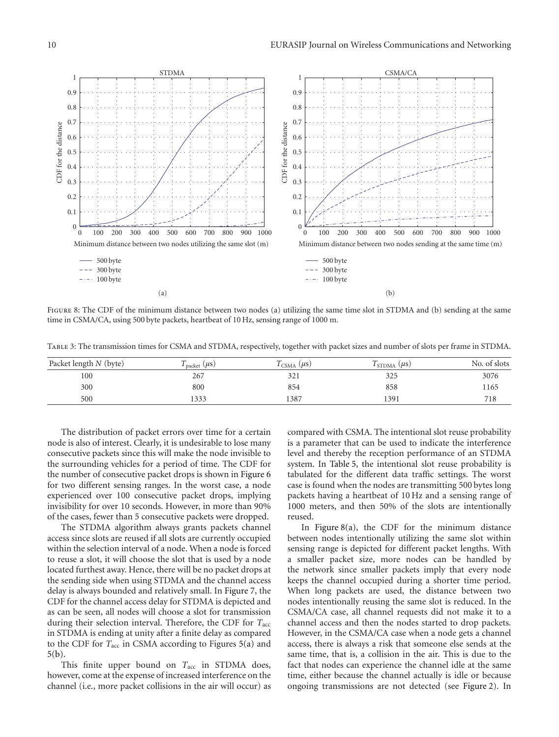

FIGURE 8: The CDF of the minimum distance between two nodes (a) utilizing the same time slot in STDMA and (b) sending at the same time in CSMA/CA, using 500 byte packets, heartbeat of 10 Hz, sensing range of 1000 m.

Table 3: The transmission times for CSMA and STDMA, respectively, together with packet sizes and number of slots per frame in STDMA.

| Packet length N (byte) | $T_{\text{packet}}$ ( $\mu$ S) | $T_{\text{CSMA}}(\mu s)$ | $T_{STDMA}(\mu s)$ | No. of slots |
|------------------------|--------------------------------|--------------------------|--------------------|--------------|
| 100                    | 267                            | 321                      | 325                | 3076         |
| 300                    | 800                            | 854                      | 858                | 165          |
| 500                    | 1333                           | 1387                     | 1391               | 718          |

The distribution of packet errors over time for a certain node is also of interest. Clearly, it is undesirable to lose many consecutive packets since this will make the node invisible to the surrounding vehicles for a period of time. The CDF for the number of consecutive packet drops is shown in Figure 6 for two different sensing ranges. In the worst case, a node experienced over 100 consecutive packet drops, implying invisibility for over 10 seconds. However, in more than 90% of the cases, fewer than 5 consecutive packets were dropped.

The STDMA algorithm always grants packets channel access since slots are reused if all slots are currently occupied within the selection interval of a node. When a node is forced to reuse a slot, it will choose the slot that is used by a node located furthest away. Hence, there will be no packet drops at the sending side when using STDMA and the channel access delay is always bounded and relatively small. In Figure 7, the CDF for the channel access delay for STDMA is depicted and as can be seen, all nodes will choose a slot for transmission during their selection interval. Therefore, the CDF for *T*acc in STDMA is ending at unity after a finite delay as compared to the CDF for *T*<sub>acc</sub> in CSMA according to Figures 5(a) and 5(b).

This finite upper bound on *T*<sub>acc</sub> in STDMA does, however, come at the expense of increased interference on the channel (i.e., more packet collisions in the air will occur) as compared with CSMA. The intentional slot reuse probability is a parameter that can be used to indicate the interference level and thereby the reception performance of an STDMA system. In Table 5, the intentional slot reuse probability is tabulated for the different data traffic settings. The worst case is found when the nodes are transmitting 500 bytes long packets having a heartbeat of 10 Hz and a sensing range of 1000 meters, and then 50% of the slots are intentionally reused.

In Figure 8(a), the CDF for the minimum distance between nodes intentionally utilizing the same slot within sensing range is depicted for different packet lengths. With a smaller packet size, more nodes can be handled by the network since smaller packets imply that every node keeps the channel occupied during a shorter time period. When long packets are used, the distance between two nodes intentionally reusing the same slot is reduced. In the CSMA/CA case, all channel requests did not make it to a channel access and then the nodes started to drop packets. However, in the CSMA/CA case when a node gets a channel access, there is always a risk that someone else sends at the same time, that is, a collision in the air. This is due to the fact that nodes can experience the channel idle at the same time, either because the channel actually is idle or because ongoing transmissions are not detected (see Figure 2). In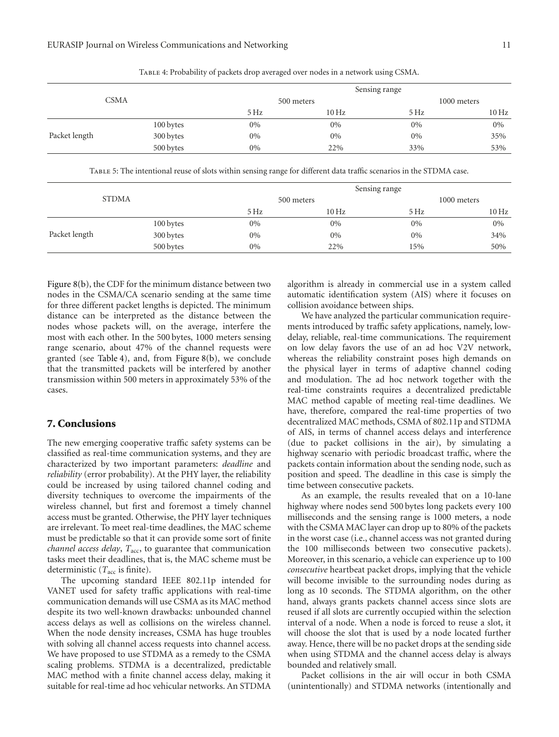Table 4: Probability of packets drop averaged over nodes in a network using CSMA.

|               |           |                  |                   | Sensing range    |                   |
|---------------|-----------|------------------|-------------------|------------------|-------------------|
| <b>CSMA</b>   |           | 500 meters       |                   | 1000 meters      |                   |
|               |           | $5\,\mathrm{Hz}$ | $10\,\mathrm{Hz}$ | $5\,\mathrm{Hz}$ | $10\,\mathrm{Hz}$ |
|               | 100 bytes | $0\%$            | $0\%$             | 0%               | $0\%$             |
| Packet length | 300 bytes | $0\%$            | $0\%$             | $0\%$            | 35%               |
|               | 500 bytes | $0\%$            | 22%               | 33%              | 53%               |

Table 5: The intentional reuse of slots within sensing range for different data traffic scenarios in the STDMA case.

| <b>STDMA</b>  |           |                  |                   | Sensing range    |                   |
|---------------|-----------|------------------|-------------------|------------------|-------------------|
|               |           | 500 meters       |                   | 1000 meters      |                   |
|               |           | $5\,\mathrm{Hz}$ | $10\,\mathrm{Hz}$ | $5\,\mathrm{Hz}$ | $10\,\mathrm{Hz}$ |
|               | 100 bytes | $0\%$            | 0%                | $0\%$            | 0%                |
| Packet length | 300 bytes | 0%               | 0%                | 0%               | 34%               |
|               | 500 bytes | $0\%$            | 22%               | 15%              | 50%               |

Figure 8(b), the CDF for the minimum distance between two nodes in the CSMA/CA scenario sending at the same time for three different packet lengths is depicted. The minimum distance can be interpreted as the distance between the nodes whose packets will, on the average, interfere the most with each other. In the 500 bytes, 1000 meters sensing range scenario, about 47% of the channel requests were granted (see Table 4), and, from Figure 8(b), we conclude that the transmitted packets will be interfered by another transmission within 500 meters in approximately 53% of the cases.

## **7. Conclusions**

The new emerging cooperative traffic safety systems can be classified as real-time communication systems, and they are characterized by two important parameters: *deadline* and *reliability* (error probability). At the PHY layer, the reliability could be increased by using tailored channel coding and diversity techniques to overcome the impairments of the wireless channel, but first and foremost a timely channel access must be granted. Otherwise, the PHY layer techniques are irrelevant. To meet real-time deadlines, the MAC scheme must be predictable so that it can provide some sort of finite *channel access delay*, *T*acc, to guarantee that communication tasks meet their deadlines, that is, the MAC scheme must be deterministic  $(T_{\text{acc}})$  is finite).

The upcoming standard IEEE 802.11p intended for VANET used for safety traffic applications with real-time communication demands will use CSMA as its MAC method despite its two well-known drawbacks: unbounded channel access delays as well as collisions on the wireless channel. When the node density increases, CSMA has huge troubles with solving all channel access requests into channel access. We have proposed to use STDMA as a remedy to the CSMA scaling problems. STDMA is a decentralized, predictable MAC method with a finite channel access delay, making it suitable for real-time ad hoc vehicular networks. An STDMA

algorithm is already in commercial use in a system called automatic identification system (AIS) where it focuses on collision avoidance between ships.

We have analyzed the particular communication requirements introduced by traffic safety applications, namely, lowdelay, reliable, real-time communications. The requirement on low delay favors the use of an ad hoc V2V network, whereas the reliability constraint poses high demands on the physical layer in terms of adaptive channel coding and modulation. The ad hoc network together with the real-time constraints requires a decentralized predictable MAC method capable of meeting real-time deadlines. We have, therefore, compared the real-time properties of two decentralized MAC methods, CSMA of 802.11p and STDMA of AIS, in terms of channel access delays and interference (due to packet collisions in the air), by simulating a highway scenario with periodic broadcast traffic, where the packets contain information about the sending node, such as position and speed. The deadline in this case is simply the time between consecutive packets.

As an example, the results revealed that on a 10-lane highway where nodes send 500 bytes long packets every 100 milliseconds and the sensing range is 1000 meters, a node with the CSMA MAC layer can drop up to 80% of the packets in the worst case (i.e., channel access was not granted during the 100 milliseconds between two consecutive packets). Moreover, in this scenario, a vehicle can experience up to 100 *consecutive* heartbeat packet drops, implying that the vehicle will become invisible to the surrounding nodes during as long as 10 seconds. The STDMA algorithm, on the other hand, always grants packets channel access since slots are reused if all slots are currently occupied within the selection interval of a node. When a node is forced to reuse a slot, it will choose the slot that is used by a node located further away. Hence, there will be no packet drops at the sending side when using STDMA and the channel access delay is always bounded and relatively small.

Packet collisions in the air will occur in both CSMA (unintentionally) and STDMA networks (intentionally and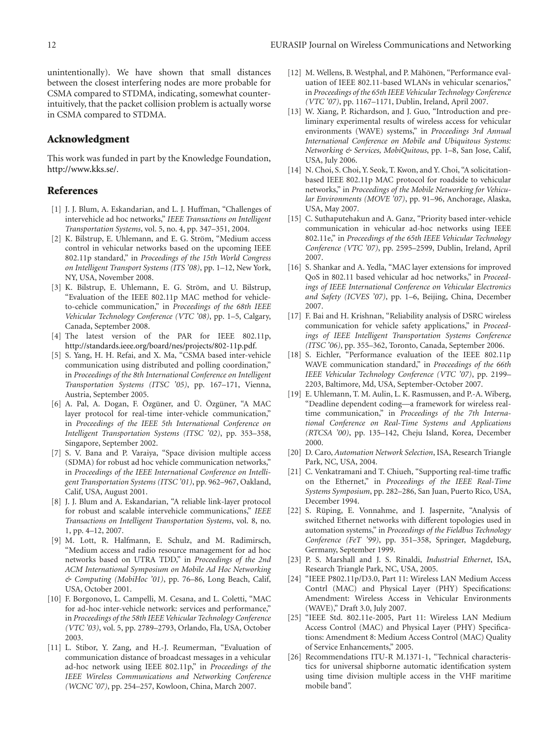unintentionally). We have shown that small distances between the closest interfering nodes are more probable for CSMA compared to STDMA, indicating, somewhat counterintuitively, that the packet collision problem is actually worse in CSMA compared to STDMA.

#### **Acknowledgment**

This work was funded in part by the Knowledge Foundation, http://www.kks.se/.

#### **References**

- [1] J. J. Blum, A. Eskandarian, and L. J. Huffman, "Challenges of intervehicle ad hoc networks," *IEEE Transactions on Intelligent Transportation Systems*, vol. 5, no. 4, pp. 347–351, 2004.
- [2] K. Bilstrup, E. Uhlemann, and E. G. Ström, "Medium access control in vehicular networks based on the upcoming IEEE 802.11p standard," in *Proceedings of the 15th World Congress on Intelligent Transport Systems (ITS '08)*, pp. 1–12, New York, NY, USA, November 2008.
- [3] K. Bilstrup, E. Uhlemann, E. G. Ström, and U. Bilstrup, "Evaluation of the IEEE 802.11p MAC method for vehicleto-cehicle communication," in *Proceedings of the 68th IEEE Vehicular Technology Conference (VTC '08)*, pp. 1–5, Calgary, Canada, September 2008.
- [4] The latest version of the PAR for IEEE 802.11p, http://standards.ieee.org/board/nes/projects/802-11p.pdf.
- [5] S. Yang, H. H. Refai, and X. Ma, "CSMA based inter-vehicle communication using distributed and polling coordination," in *Proceedings of the 8th International Conference on Intelligent Transportation Systems (ITSC '05)*, pp. 167–171, Vienna, Austria, September 2005.
- $[6]$  A. Pal, A. Dogan, F. Özgüner, and Ü. Özgüner, "A MAC layer protocol for real-time inter-vehicle communication," in *Proceedings of the IEEE 5th International Conference on Intelligent Transportation Systems (ITSC '02)*, pp. 353–358, Singapore, September 2002.
- [7] S. V. Bana and P. Varaiya, "Space division multiple access (SDMA) for robust ad hoc vehicle communication networks," in *Proceedings of the IEEE International Conference on Intelligent Transportation Systems (ITSC '01)*, pp. 962–967, Oakland, Calif, USA, August 2001.
- [8] J. J. Blum and A. Eskandarian, "A reliable link-layer protocol for robust and scalable intervehicle communications," *IEEE Transactions on Intelligent Transportation Systems*, vol. 8, no. 1, pp. 4–12, 2007.
- [9] M. Lott, R. Halfmann, E. Schulz, and M. Radimirsch, "Medium access and radio resource management for ad hoc networks based on UTRA TDD," in *Proceedings of the 2nd ACM International Symposium on Mobile Ad Hoc Networking & Computing (MobiHoc '01)*, pp. 76–86, Long Beach, Calif, USA, October 2001.
- [10] F. Borgonovo, L. Campelli, M. Cesana, and L. Coletti, "MAC for ad-hoc inter-vehicle network: services and performance," in *Proceedings of the 58th IEEE Vehicular Technology Conference (VTC '03)*, vol. 5, pp. 2789–2793, Orlando, Fla, USA, October 2003.
- [11] L. Stibor, Y. Zang, and H.-J. Reumerman, "Evaluation of communication distance of broadcast messages in a vehicular ad-hoc network using IEEE 802.11p," in *Proceedings of the IEEE Wireless Communications and Networking Conference (WCNC '07)*, pp. 254–257, Kowloon, China, March 2007.
- [12] M. Wellens, B. Westphal, and P. Mähönen, "Performance evaluation of IEEE 802.11-based WLANs in vehicular scenarios," in *Proceedings of the 65th IEEE Vehicular Technology Conference (VTC '07)*, pp. 1167–1171, Dublin, Ireland, April 2007.
- [13] W. Xiang, P. Richardson, and J. Guo, "Introduction and preliminary experimental results of wireless access for vehicular environments (WAVE) systems," in *Proceedings 3rd Annual International Conference on Mobile and Ubiquitous Systems: Networking & Services, MobiQuitous*, pp. 1–8, San Jose, Calif, USA, July 2006.
- [14] N. Choi, S. Choi, Y. Seok, T. Kwon, and Y. Choi, "A solicitationbased IEEE 802.11p MAC protocol for roadside to vehicular networks," in *Proceedings of the Mobile Networking for Vehicular Environments (MOVE '07)*, pp. 91–96, Anchorage, Alaska, USA, May 2007.
- [15] C. Suthaputehakun and A. Ganz, "Priority based inter-vehicle communication in vehicular ad-hoc networks using IEEE 802.11e," in *Proceedings of the 65th IEEE Vehicular Technology Conference (VTC '07)*, pp. 2595–2599, Dublin, Ireland, April 2007.
- [16] S. Shankar and A. Yedla, "MAC layer extensions for improved QoS in 802.11 based vehicular ad hoc networks," in *Proceedings of IEEE International Conference on Vehicular Electronics and Safety (ICVES '07)*, pp. 1–6, Beijing, China, December 2007.
- [17] F. Bai and H. Krishnan, "Reliability analysis of DSRC wireless communication for vehicle safety applications," in *Proceedings of IEEE Intelligent Transportation Systems Conference (ITSC '06)*, pp. 355–362, Toronto, Canada, September 2006.
- [18] S. Eichler, "Performance evaluation of the IEEE 802.11p WAVE communication standard," in *Proceedings of the 66th IEEE Vehicular Technology Conference (VTC '07)*, pp. 2199– 2203, Baltimore, Md, USA, September-October 2007.
- [19] E. Uhlemann, T. M. Aulin, L. K. Rasmussen, and P.-A. Wiberg, "Deadline dependent coding—a framework for wireless realtime communication," in *Proceedings of the 7th International Conference on Real-Time Systems and Applications (RTCSA '00)*, pp. 135–142, Cheju Island, Korea, December 2000.
- [20] D. Caro, *Automation Network Selection*, ISA, Research Triangle Park, NC, USA, 2004.
- [21] C. Venkatramani and T. Chiueh, "Supporting real-time traffic on the Ethernet," in *Proceedings of the IEEE Real-Time Systems Symposium*, pp. 282–286, San Juan, Puerto Rico, USA, December 1994.
- [22] S. Rüping, E. Vonnahme, and J. Jaspernite, "Analysis of switched Ethernet networks with different topologies used in automation systems," in *Proceedings of the Fieldbus Technology Conference (FeT '99)*, pp. 351–358, Springer, Magdeburg, Germany, September 1999.
- [23] P. S. Marshall and J. S. Rinaldi, *Industrial Ethernet*, ISA, Research Triangle Park, NC, USA, 2005.
- [24] "IEEE P802.11p/D3.0, Part 11: Wireless LAN Medium Access Contrl (MAC) and Physical Layer (PHY) Specifications: Amendment: Wireless Access in Vehicular Environments (WAVE)," Draft 3.0, July 2007.
- [25] "IEEE Std. 802.11e-2005, Part 11: Wireless LAN Medium Access Control (MAC) and Physical Layer (PHY) Specifications: Amendment 8: Medium Access Control (MAC) Quality of Service Enhancements," 2005.
- [26] Recommendations ITU-R M.1371-1, "Technical characteristics for universal shipborne automatic identification system using time division multiple access in the VHF maritime mobile band".